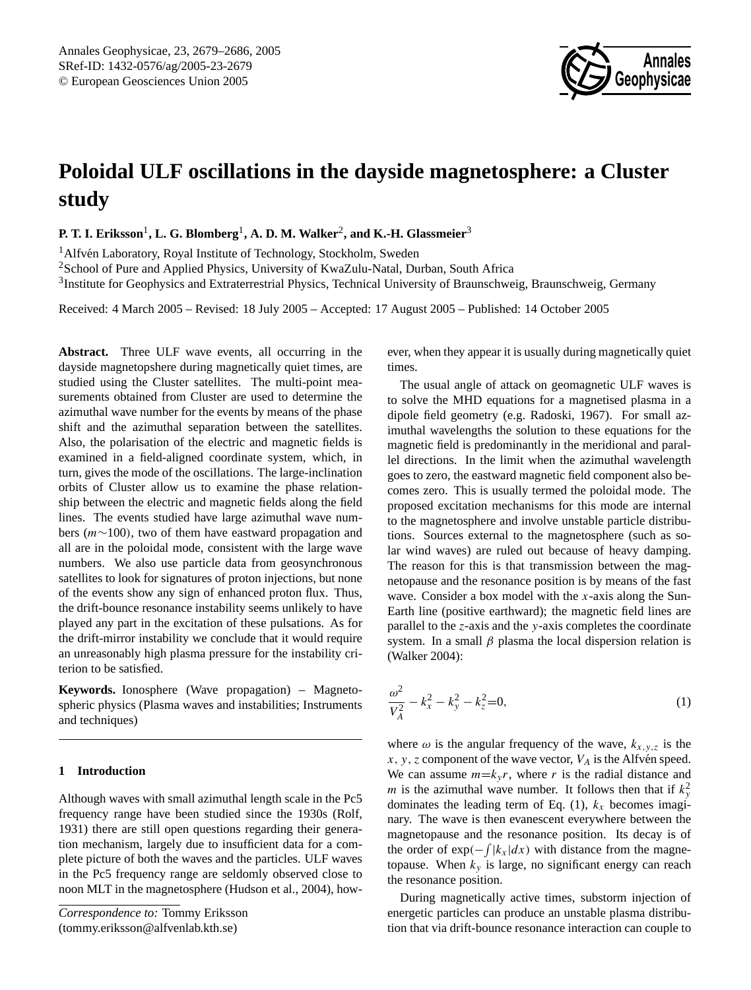

# **Poloidal ULF oscillations in the dayside magnetosphere: a Cluster study**

**P. T. I. Eriksson** $^1$ **, L. G. Blomberg** $^1$ **, A. D. M. Walker** $^2$ **, and K.-H. Glassmeier** $^3$ 

<sup>1</sup> Alfvén Laboratory, Royal Institute of Technology, Stockholm, Sweden

<sup>2</sup>School of Pure and Applied Physics, University of KwaZulu-Natal, Durban, South Africa

<sup>3</sup>Institute for Geophysics and Extraterrestrial Physics, Technical University of Braunschweig, Braunschweig, Germany

Received: 4 March 2005 – Revised: 18 July 2005 – Accepted: 17 August 2005 – Published: 14 October 2005

Abstract. Three ULF wave events, all occurring in the dayside magnetopshere during magnetically quiet times, are studied using the Cluster satellites. The multi-point measurements obtained from Cluster are used to determine the azimuthal wave number for the events by means of the phase shift and the azimuthal separation between the satellites. Also, the polarisation of the electric and magnetic fields is examined in a field-aligned coordinate system, which, in turn, gives the mode of the oscillations. The large-inclination orbits of Cluster allow us to examine the phase relationship between the electric and magnetic fields along the field lines. The events studied have large azimuthal wave numbers (m∼100), two of them have eastward propagation and all are in the poloidal mode, consistent with the large wave numbers. We also use particle data from geosynchronous satellites to look for signatures of proton injections, but none of the events show any sign of enhanced proton flux. Thus, the drift-bounce resonance instability seems unlikely to have played any part in the excitation of these pulsations. As for the drift-mirror instability we conclude that it would require an unreasonably high plasma pressure for the instability criterion to be satisfied.

**Keywords.** Ionosphere (Wave propagation) – Magnetospheric physics (Plasma waves and instabilities; Instruments and techniques)

## **1 Introduction**

Although waves with small azimuthal length scale in the Pc5 frequency range have been studied since the 1930s (Rolf, 1931) there are still open questions regarding their generation mechanism, largely due to insufficient data for a complete picture of both the waves and the particles. ULF waves in the Pc5 frequency range are seldomly observed close to noon MLT in the magnetosphere (Hudson et al., 2004), however, when they appear it is usually during magnetically quiet times.

The usual angle of attack on geomagnetic ULF waves is to solve the MHD equations for a magnetised plasma in a dipole field geometry (e.g. Radoski, 1967). For small azimuthal wavelengths the solution to these equations for the magnetic field is predominantly in the meridional and parallel directions. In the limit when the azimuthal wavelength goes to zero, the eastward magnetic field component also becomes zero. This is usually termed the poloidal mode. The proposed excitation mechanisms for this mode are internal to the magnetosphere and involve unstable particle distributions. Sources external to the magnetosphere (such as solar wind waves) are ruled out because of heavy damping. The reason for this is that transmission between the magnetopause and the resonance position is by means of the fast wave. Consider a box model with the  $x$ -axis along the Sun-Earth line (positive earthward); the magnetic field lines are parallel to the  $z$ -axis and the  $y$ -axis completes the coordinate system. In a small  $\beta$  plasma the local dispersion relation is (Walker 2004):

<span id="page-0-1"></span>
$$
\frac{\omega^2}{V_A^2} - k_x^2 - k_y^2 - k_z^2 = 0,\tag{1}
$$

where  $\omega$  is the angular frequency of the wave,  $k_{x,y,z}$  is the  $x, y, z$  component of the wave vector,  $V_A$  is the Alfvén speed. We can assume  $m=k_v r$ , where r is the radial distance and *m* is the azimuthal wave number. It follows then that if  $k_y^2$ dominates the leading term of Eq. [\(1\)](#page-0-1),  $k_x$  becomes imaginary. The wave is then evanescent everywhere between the magnetopause and the resonance position. Its decay is of the order of  $exp(-\int |k_x| dx)$  with distance from the magnetopause. When  $k_y$  is large, no significant energy can reach the resonance position.

During magnetically active times, substorm injection of energetic particles can produce an unstable plasma distribution that via drift-bounce resonance interaction can couple to

<span id="page-0-0"></span>*Correspondence to:* Tommy Eriksson (tommy.eriksson@alfvenlab.kth.se)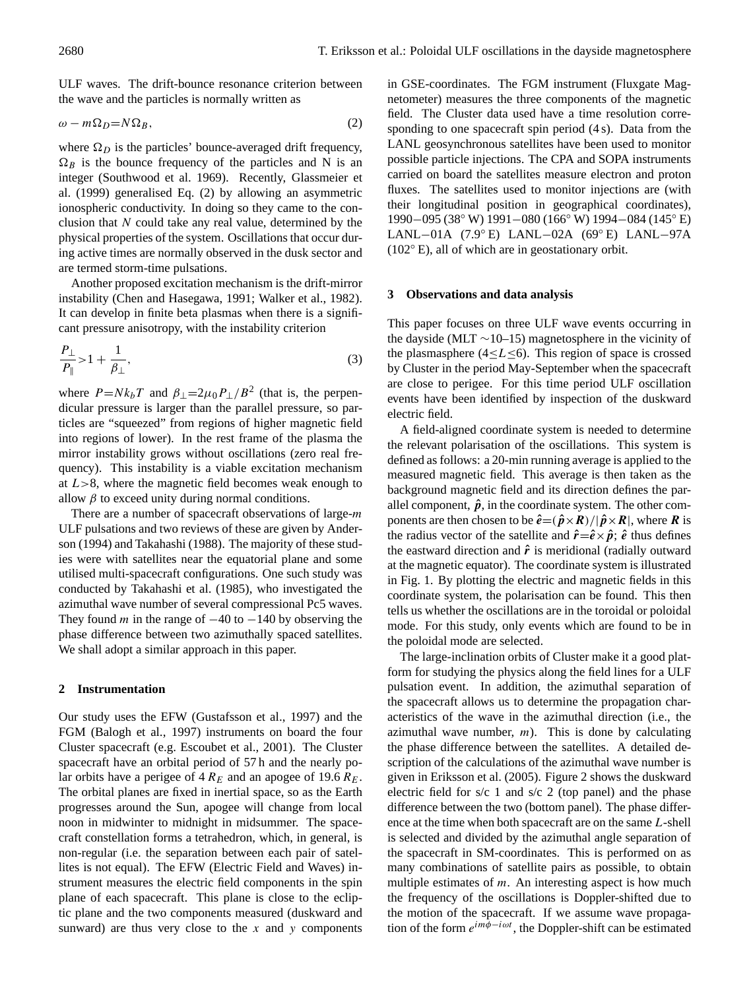ULF waves. The drift-bounce resonance criterion between the wave and the particles is normally written as

<span id="page-1-0"></span>
$$
\omega - m\Omega_D = N\Omega_B,\tag{2}
$$

where  $\Omega_D$  is the particles' bounce-averaged drift frequency,  $\Omega_B$  is the bounce frequency of the particles and N is an integer (Southwood et al. 1969). Recently, Glassmeier et al. (1999) generalised Eq. [\(2\)](#page-1-0) by allowing an asymmetric ionospheric conductivity. In doing so they came to the conclusion that  $N$  could take any real value, determined by the physical properties of the system. Oscillations that occur during active times are normally observed in the dusk sector and are termed storm-time pulsations.

Another proposed excitation mechanism is the drift-mirror instability (Chen and Hasegawa, 1991; Walker et al., 1982). It can develop in finite beta plasmas when there is a significant pressure anisotropy, with the instability criterion

<span id="page-1-1"></span>
$$
\frac{P_{\perp}}{P_{\parallel}} > 1 + \frac{1}{\beta_{\perp}},
$$
\n(3)

where  $P = Nk_bT$  and  $\beta_{\perp} = 2\mu_0 P_{\perp}/B^2$  (that is, the perpendicular pressure is larger than the parallel pressure, so particles are "squeezed" from regions of higher magnetic field into regions of lower). In the rest frame of the plasma the mirror instability grows without oscillations (zero real frequency). This instability is a viable excitation mechanism at  $L > 8$ , where the magnetic field becomes weak enough to allow  $\beta$  to exceed unity during normal conditions.

There are a number of spacecraft observations of large-*m* ULF pulsations and two reviews of these are given by Anderson (1994) and Takahashi (1988). The majority of these studies were with satellites near the equatorial plane and some utilised multi-spacecraft configurations. One such study was conducted by Takahashi et al. (1985), who investigated the azimuthal wave number of several compressional Pc5 waves. They found m in the range of  $-40$  to  $-140$  by observing the phase difference between two azimuthally spaced satellites. We shall adopt a similar approach in this paper.

### **2 Instrumentation**

Our study uses the EFW (Gustafsson et al., 1997) and the FGM (Balogh et al., 1997) instruments on board the four Cluster spacecraft (e.g. Escoubet et al., 2001). The Cluster spacecraft have an orbital period of 57 h and the nearly polar orbits have a perigee of  $4 R_E$  and an apogee of 19.6  $R_E$ . The orbital planes are fixed in inertial space, so as the Earth progresses around the Sun, apogee will change from local noon in midwinter to midnight in midsummer. The spacecraft constellation forms a tetrahedron, which, in general, is non-regular (i.e. the separation between each pair of satellites is not equal). The EFW (Electric Field and Waves) instrument measures the electric field components in the spin plane of each spacecraft. This plane is close to the ecliptic plane and the two components measured (duskward and sunward) are thus very close to the  $x$  and  $y$  components in GSE-coordinates. The FGM instrument (Fluxgate Magnetometer) measures the three components of the magnetic field. The Cluster data used have a time resolution corresponding to one spacecraft spin period (4 s). Data from the LANL geosynchronous satellites have been used to monitor possible particle injections. The CPA and SOPA instruments carried on board the satellites measure electron and proton fluxes. The satellites used to monitor injections are (with their longitudinal position in geographical coordinates), 1990−095 (38◦ W) 1991−080 (166◦ W) 1994−084 (145◦ E) LANL−01A (7.9◦ E) LANL−02A (69◦ E) LANL−97A (102◦ E), all of which are in geostationary orbit.

#### **3 Observations and data analysis**

This paper focuses on three ULF wave events occurring in the dayside (MLT ∼10–15) magnetosphere in the vicinity of the plasmasphere (4 $\leq L \leq 6$ ). This region of space is crossed by Cluster in the period May-September when the spacecraft are close to perigee. For this time period ULF oscillation events have been identified by inspection of the duskward electric field.

A field-aligned coordinate system is needed to determine the relevant polarisation of the oscillations. This system is defined as follows: a 20-min running average is applied to the measured magnetic field. This average is then taken as the background magnetic field and its direction defines the parallel component,  $\hat{p}$ , in the coordinate system. The other components are then chosen to be  $\hat{e} = (\hat{p} \times R)/|\hat{p} \times R|$ , where R is the radius vector of the satellite and  $\hat{r} = \hat{e} \times \hat{p}$ ;  $\hat{e}$  thus defines the eastward direction and  $\hat{r}$  is meridional (radially outward at the magnetic equator). The coordinate system is illustrated in Fig. 1. By plotting the electric and magnetic fields in this coordinate system, the polarisation can be found. This then tells us whether the oscillations are in the toroidal or poloidal mode. For this study, only events which are found to be in the poloidal mode are selected.

The large-inclination orbits of Cluster make it a good platform for studying the physics along the field lines for a ULF pulsation event. In addition, the azimuthal separation of the spacecraft allows us to determine the propagation characteristics of the wave in the azimuthal direction (i.e., the azimuthal wave number,  $m$ ). This is done by calculating the phase difference between the satellites. A detailed description of the calculations of the azimuthal wave number is given in Eriksson et al. (2005). Figure 2 shows the duskward electric field for s/c 1 and s/c 2 (top panel) and the phase difference between the two (bottom panel). The phase difference at the time when both spacecraft are on the same L-shell is selected and divided by the azimuthal angle separation of the spacecraft in SM-coordinates. This is performed on as many combinations of satellite pairs as possible, to obtain multiple estimates of  $m$ . An interesting aspect is how much the frequency of the oscillations is Doppler-shifted due to the motion of the spacecraft. If we assume wave propagation of the form  $e^{im\phi - i\omega t}$ , the Doppler-shift can be estimated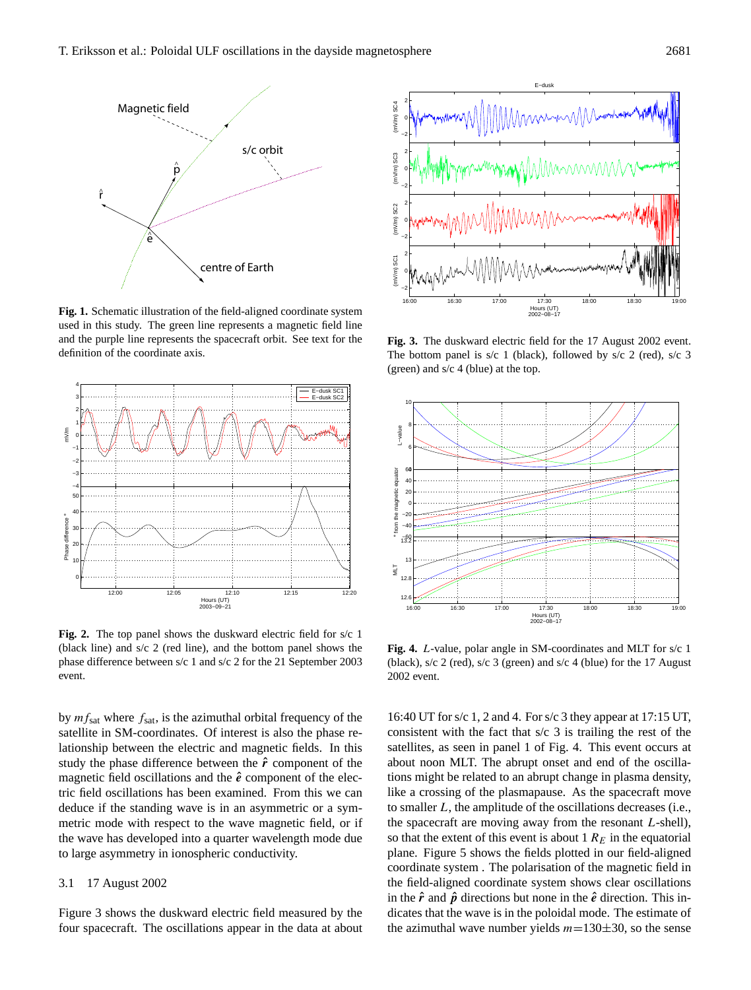

**Fig. 1.** Schematic illustration of the field-aligned coordinate system used in this study. The green line represents a magnetic field line and the purple line represents the spacecraft orbit. See text for the definition of the coordinate axis.



**Fig. 2.** The top panel shows the duskward electric field for s/c 1 (black line) and s/c 2 (red line), and the bottom panel shows the phase difference between s/c 1 and s/c 2 for the 21 September 2003 event.

by  $mf<sub>sat</sub>$  where  $f<sub>sat</sub>$ , is the azimuthal orbital frequency of the satellite in SM-coordinates. Of interest is also the phase relationship between the electric and magnetic fields. In this study the phase difference between the  $\hat{r}$  component of the magnetic field oscillations and the  $\hat{e}$  component of the electric field oscillations has been examined. From this we can deduce if the standing wave is in an asymmetric or a symmetric mode with respect to the wave magnetic field, or if the wave has developed into a quarter wavelength mode due to large asymmetry in ionospheric conductivity.

## 3.1 17 August 2002

Figure 3 shows the duskward electric field measured by the four spacecraft. The oscillations appear in the data at about



**Fig. 3.** The duskward electric field for the 17 August 2002 event. The bottom panel is s/c 1 (black), followed by s/c 2 (red), s/c 3 (green) and s/c 4 (blue) at the top.



**Fig. 4.** L-value, polar angle in SM-coordinates and MLT for s/c 1 (black), s/c 2 (red), s/c 3 (green) and s/c 4 (blue) for the 17 August 2002 event.

16:40 UT for s/c 1, 2 and 4. For s/c 3 they appear at 17:15 UT, consistent with the fact that s/c 3 is trailing the rest of the satellites, as seen in panel 1 of Fig. 4. This event occurs at about noon MLT. The abrupt onset and end of the oscillations might be related to an abrupt change in plasma density, like a crossing of the plasmapause. As the spacecraft move to smaller L, the amplitude of the oscillations decreases (i.e., the spacecraft are moving away from the resonant  $L$ -shell), so that the extent of this event is about 1  $R<sub>E</sub>$  in the equatorial plane. Figure 5 shows the fields plotted in our field-aligned coordinate system . The polarisation of the magnetic field in the field-aligned coordinate system shows clear oscillations in the  $\hat{r}$  and  $\hat{p}$  directions but none in the  $\hat{e}$  direction. This indicates that the wave is in the poloidal mode. The estimate of the azimuthal wave number yields  $m=130\pm30$ , so the sense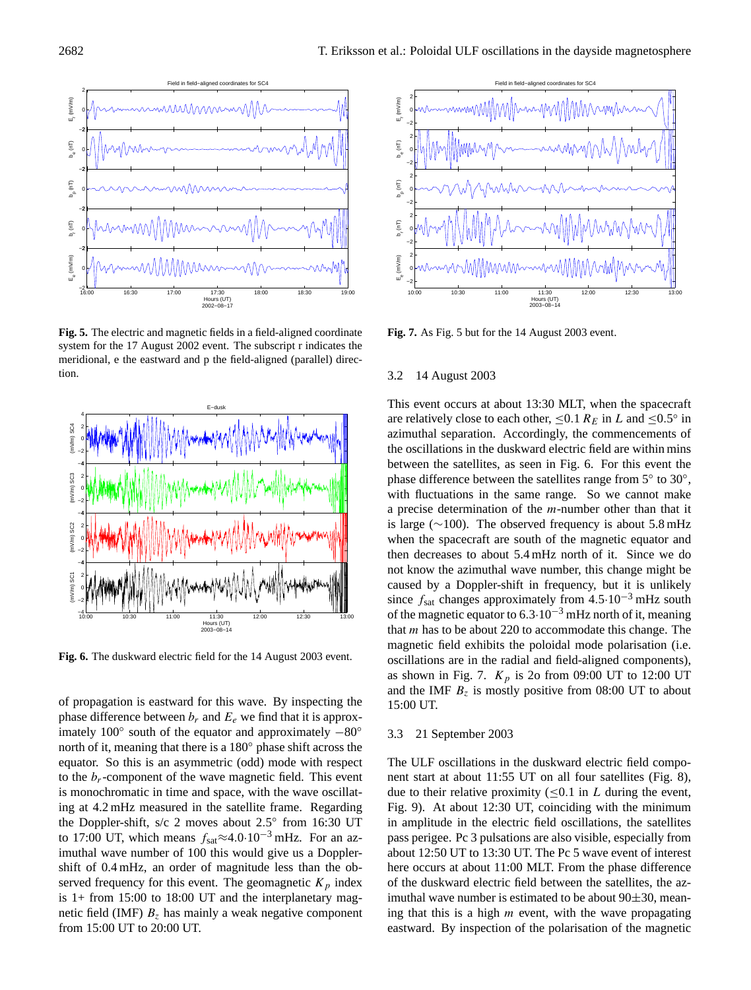

**Fig. 5.** The electric and magnetic fields in a field-aligned coordinate system for the 17 August 2002 event. The subscript r indicates the meridional, e the eastward and p the field-aligned (parallel) direction.



**Fig. 6.** The duskward electric field for the 14 August 2003 event.

of propagation is eastward for this wave. By inspecting the phase difference between  $b_r$  and  $E_e$  we find that it is approximately 100 $\degree$  south of the equator and approximately  $-80\degree$ north of it, meaning that there is a 180◦ phase shift across the equator. So this is an asymmetric (odd) mode with respect to the  $b_r$ -component of the wave magnetic field. This event is monochromatic in time and space, with the wave oscillating at 4.2 mHz measured in the satellite frame. Regarding the Doppler-shift, s/c 2 moves about 2.5° from 16:30 UT to 17:00 UT, which means  $f_{\text{sat}} \approx 4.0 \cdot 10^{-3}$  mHz. For an azimuthal wave number of 100 this would give us a Dopplershift of 0.4 mHz, an order of magnitude less than the observed frequency for this event. The geomagnetic  $K_p$  index is 1+ from 15:00 to 18:00 UT and the interplanetary magnetic field (IMF)  $B<sub>z</sub>$  has mainly a weak negative component from 15:00 UT to 20:00 UT.



**Fig. 7.** As Fig. 5 but for the 14 August 2003 event.

## 3.2 14 August 2003

This event occurs at about 13:30 MLT, when the spacecraft are relatively close to each other,  $\leq 0.1 R_E$  in L and  $\leq 0.5^\circ$  in azimuthal separation. Accordingly, the commencements of the oscillations in the duskward electric field are within mins between the satellites, as seen in Fig. 6. For this event the phase difference between the satellites range from 5° to 30°, with fluctuations in the same range. So we cannot make a precise determination of the m-number other than that it is large (∼100). The observed frequency is about 5.8 mHz when the spacecraft are south of the magnetic equator and then decreases to about 5.4 mHz north of it. Since we do not know the azimuthal wave number, this change might be caused by a Doppler-shift in frequency, but it is unlikely since  $f_{\text{sat}}$  changes approximately from 4.5·10<sup>-3</sup> mHz south of the magnetic equator to  $6.3 \cdot 10^{-3}$  mHz north of it, meaning that m has to be about 220 to accommodate this change. The magnetic field exhibits the poloidal mode polarisation (i.e. oscillations are in the radial and field-aligned components), as shown in Fig. 7.  $K_p$  is 2o from 09:00 UT to 12:00 UT and the IMF  $B_z$  is mostly positive from 08:00 UT to about 15:00 UT.

## 3.3 21 September 2003

The ULF oscillations in the duskward electric field component start at about 11:55 UT on all four satellites (Fig. 8), due to their relative proximity ( $\leq 0.1$  in L during the event, Fig. 9). At about 12:30 UT, coinciding with the minimum in amplitude in the electric field oscillations, the satellites pass perigee. Pc 3 pulsations are also visible, especially from about 12:50 UT to 13:30 UT. The Pc 5 wave event of interest here occurs at about 11:00 MLT. From the phase difference of the duskward electric field between the satellites, the azimuthal wave number is estimated to be about  $90\pm30$ , meaning that this is a high  $m$  event, with the wave propagating eastward. By inspection of the polarisation of the magnetic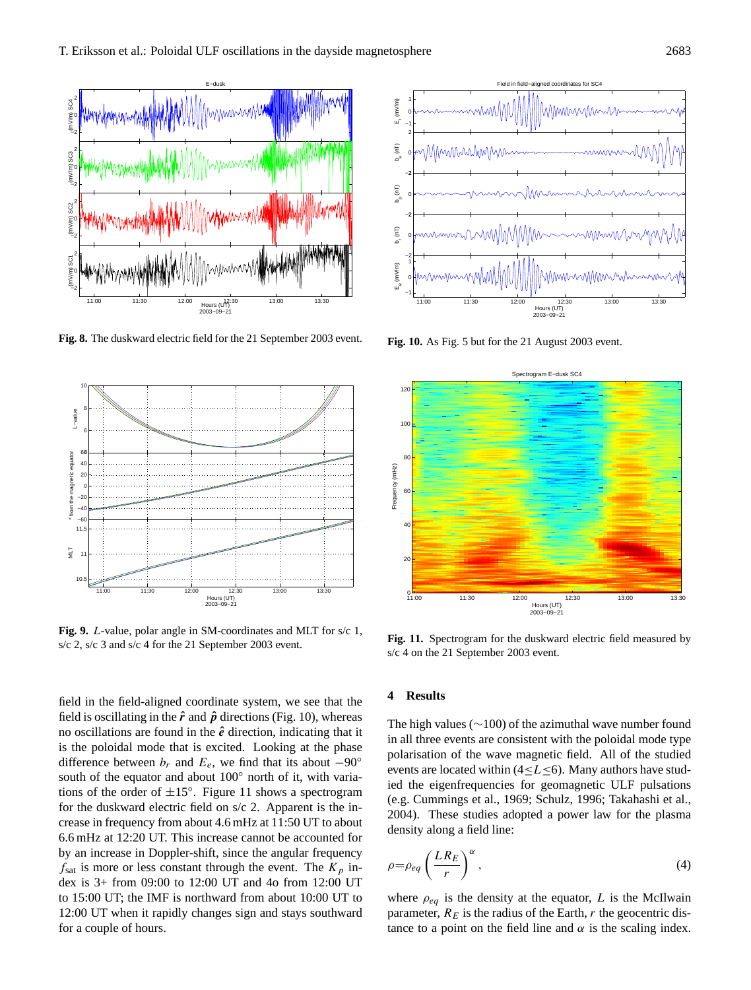

**Fig. 8.** The duskward electric field for the 21 September 2003 event.



**Fig. 9.** L-value, polar angle in SM-coordinates and MLT for s/c 1, s/c 2, s/c 3 and s/c 4 for the 21 September 2003 event.

field in the field-aligned coordinate system, we see that the field is oscillating in the  $\hat{r}$  and  $\hat{p}$  directions (Fig. 10), whereas no oscillations are found in the  $\hat{e}$  direction, indicating that it is the poloidal mode that is excited. Looking at the phase difference between  $b_r$  and  $E_e$ , we find that its about  $-90^\circ$ south of the equator and about 100° north of it, with variations of the order of  $\pm 15^\circ$ . Figure 11 shows a spectrogram for the duskward electric field on s/c 2. Apparent is the increase in frequency from about 4.6 mHz at 11:50 UT to about 6.6 mHz at 12:20 UT. This increase cannot be accounted for by an increase in Doppler-shift, since the angular frequency  $f_{\text{sat}}$  is more or less constant through the event. The  $K_p$  index is 3+ from 09:00 to 12:00 UT and 4o from 12:00 UT to 15:00 UT; the IMF is northward from about 10:00 UT to 12:00 UT when it rapidly changes sign and stays southward for a couple of hours.



**Fig. 10.** As Fig. 5 but for the 21 August 2003 event.



**Fig. 11.** Spectrogram for the duskward electric field measured by s/c 4 on the 21 September 2003 event.

### **4 Results**

The high values (∼100) of the azimuthal wave number found in all three events are consistent with the poloidal mode type polarisation of the wave magnetic field. All of the studied events are located within ( $4 \le L \le 6$ ). Many authors have studied the eigenfrequencies for geomagnetic ULF pulsations (e.g. Cummings et al., 1969; Schulz, 1996; Takahashi et al., 2004). These studies adopted a power law for the plasma density along a field line:

$$
\rho = \rho_{eq} \left( \frac{LR_E}{r} \right)^{\alpha},\tag{4}
$$

where  $\rho_{eq}$  is the density at the equator, L is the McIlwain parameter,  $R_E$  is the radius of the Earth, r the geocentric distance to a point on the field line and  $\alpha$  is the scaling index.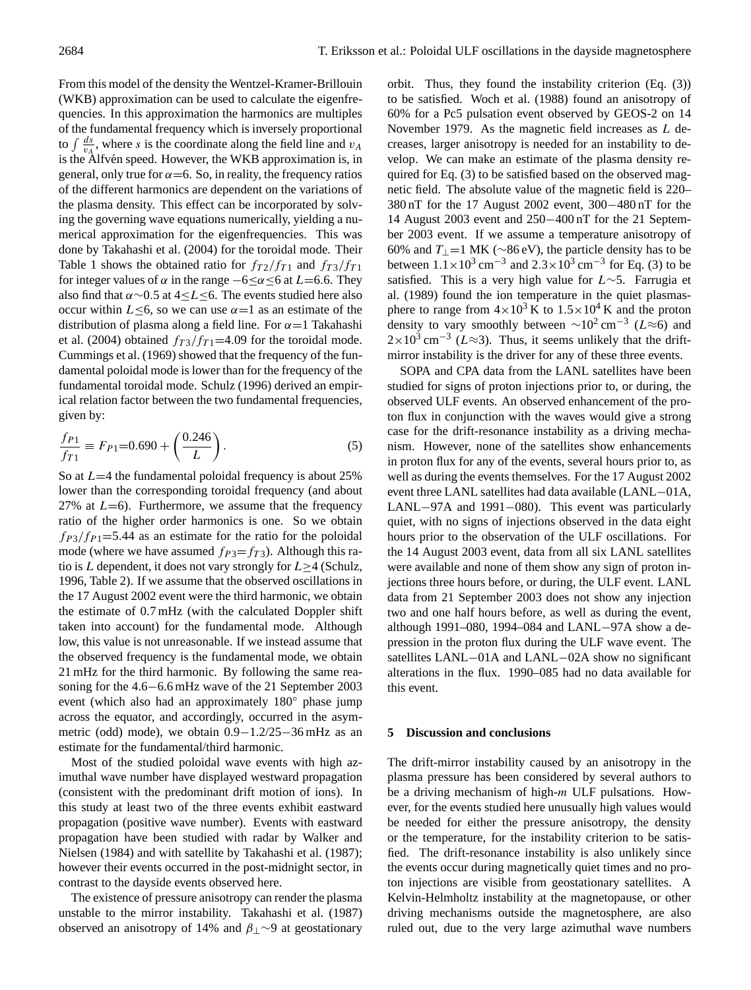From this model of the density the Wentzel-Kramer-Brillouin (WKB) approximation can be used to calculate the eigenfrequencies. In this approximation the harmonics are multiples of the fundamental frequency which is inversely proportional to  $\int \frac{ds}{v_A}$ , where s is the coordinate along the field line and  $v_A$ is the Alfvén speed. However, the WKB approximation is, in general, only true for  $\alpha$  = 6. So, in reality, the frequency ratios of the different harmonics are dependent on the variations of the plasma density. This effect can be incorporated by solving the governing wave equations numerically, yielding a numerical approximation for the eigenfrequencies. This was done by Takahashi et al. (2004) for the toroidal mode. Their Table 1 shows the obtained ratio for  $f_{T2}/f_{T1}$  and  $f_{T3}/f_{T1}$ for integer values of  $\alpha$  in the range  $-6 \le \alpha \le 6$  at  $L=6.6$ . They also find that  $\alpha \sim 0.5$  at 4≤L≤6. The events studied here also occur within  $L \leq 6$ , so we can use  $\alpha = 1$  as an estimate of the distribution of plasma along a field line. For  $\alpha = 1$  Takahashi et al. (2004) obtained  $f_{T3}/f_{T1}$ =4.09 for the toroidal mode. Cummings et al. (1969) showed that the frequency of the fundamental poloidal mode is lower than for the frequency of the fundamental toroidal mode. Schulz (1996) derived an empirical relation factor between the two fundamental frequencies, given by:

$$
\frac{f_{P1}}{f_{T1}} \equiv F_{P1} = 0.690 + \left(\frac{0.246}{L}\right). \tag{5}
$$

So at  $L=4$  the fundamental poloidal frequency is about 25% lower than the corresponding toroidal frequency (and about 27% at  $L=6$ ). Furthermore, we assume that the frequency ratio of the higher order harmonics is one. So we obtain  $f_{P3}/f_{P1}$ =5.44 as an estimate for the ratio for the poloidal mode (where we have assumed  $f_{P3}=f_{T3}$ ). Although this ratio is L dependent, it does not vary strongly for  $L \geq 4$  (Schulz, 1996, Table 2). If we assume that the observed oscillations in the 17 August 2002 event were the third harmonic, we obtain the estimate of 0.7 mHz (with the calculated Doppler shift taken into account) for the fundamental mode. Although low, this value is not unreasonable. If we instead assume that the observed frequency is the fundamental mode, we obtain 21 mHz for the third harmonic. By following the same reasoning for the 4.6−6.6 mHz wave of the 21 September 2003 event (which also had an approximately 180◦ phase jump across the equator, and accordingly, occurred in the asymmetric (odd) mode), we obtain 0.9−1.2/25−36 mHz as an estimate for the fundamental/third harmonic.

Most of the studied poloidal wave events with high azimuthal wave number have displayed westward propagation (consistent with the predominant drift motion of ions). In this study at least two of the three events exhibit eastward propagation (positive wave number). Events with eastward propagation have been studied with radar by Walker and Nielsen (1984) and with satellite by Takahashi et al. (1987); however their events occurred in the post-midnight sector, in contrast to the dayside events observed here.

The existence of pressure anisotropy can render the plasma unstable to the mirror instability. Takahashi et al. (1987) observed an anisotropy of 14% and  $\beta_{\perp}$ ∼9 at geostationary orbit. Thus, they found the instability criterion (Eq. [\(3\)](#page-1-1)) to be satisfied. Woch et al. (1988) found an anisotropy of 60% for a Pc5 pulsation event observed by GEOS-2 on 14 November 1979. As the magnetic field increases as L decreases, larger anisotropy is needed for an instability to develop. We can make an estimate of the plasma density required for Eq. [\(3\)](#page-1-1) to be satisfied based on the observed magnetic field. The absolute value of the magnetic field is 220– 380 nT for the 17 August 2002 event, 300−480 nT for the 14 August 2003 event and 250−400 nT for the 21 September 2003 event. If we assume a temperature anisotropy of 60% and  $T_1$  =1 MK (∼86 eV), the particle density has to be between  $1.1 \times 10^3 \text{ cm}^{-3}$  and  $2.3 \times 10^3 \text{ cm}^{-3}$  for Eq. [\(3\)](#page-1-1) to be satisfied. This is a very high value for L∼5. Farrugia et al. (1989) found the ion temperature in the quiet plasmasphere to range from  $4 \times 10^3$  K to  $1.5 \times 10^4$  K and the proton density to vary smoothly between  $\sim 10^2 \text{ cm}^{-3}$  ( $L \approx 6$ ) and  $2 \times 10^3$  cm<sup>-3</sup> ( $L \approx 3$ ). Thus, it seems unlikely that the driftmirror instability is the driver for any of these three events.

SOPA and CPA data from the LANL satellites have been studied for signs of proton injections prior to, or during, the observed ULF events. An observed enhancement of the proton flux in conjunction with the waves would give a strong case for the drift-resonance instability as a driving mechanism. However, none of the satellites show enhancements in proton flux for any of the events, several hours prior to, as well as during the events themselves. For the 17 August 2002 event three LANL satellites had data available (LANL−01A, LANL−97A and 1991−080). This event was particularly quiet, with no signs of injections observed in the data eight hours prior to the observation of the ULF oscillations. For the 14 August 2003 event, data from all six LANL satellites were available and none of them show any sign of proton injections three hours before, or during, the ULF event. LANL data from 21 September 2003 does not show any injection two and one half hours before, as well as during the event, although 1991–080, 1994–084 and LANL−97A show a depression in the proton flux during the ULF wave event. The satellites LANL–01A and LANL–02A show no significant alterations in the flux. 1990–085 had no data available for this event.

## **5 Discussion and conclusions**

The drift-mirror instability caused by an anisotropy in the plasma pressure has been considered by several authors to be a driving mechanism of high-m ULF pulsations. However, for the events studied here unusually high values would be needed for either the pressure anisotropy, the density or the temperature, for the instability criterion to be satisfied. The drift-resonance instability is also unlikely since the events occur during magnetically quiet times and no proton injections are visible from geostationary satellites. A Kelvin-Helmholtz instability at the magnetopause, or other driving mechanisms outside the magnetosphere, are also ruled out, due to the very large azimuthal wave numbers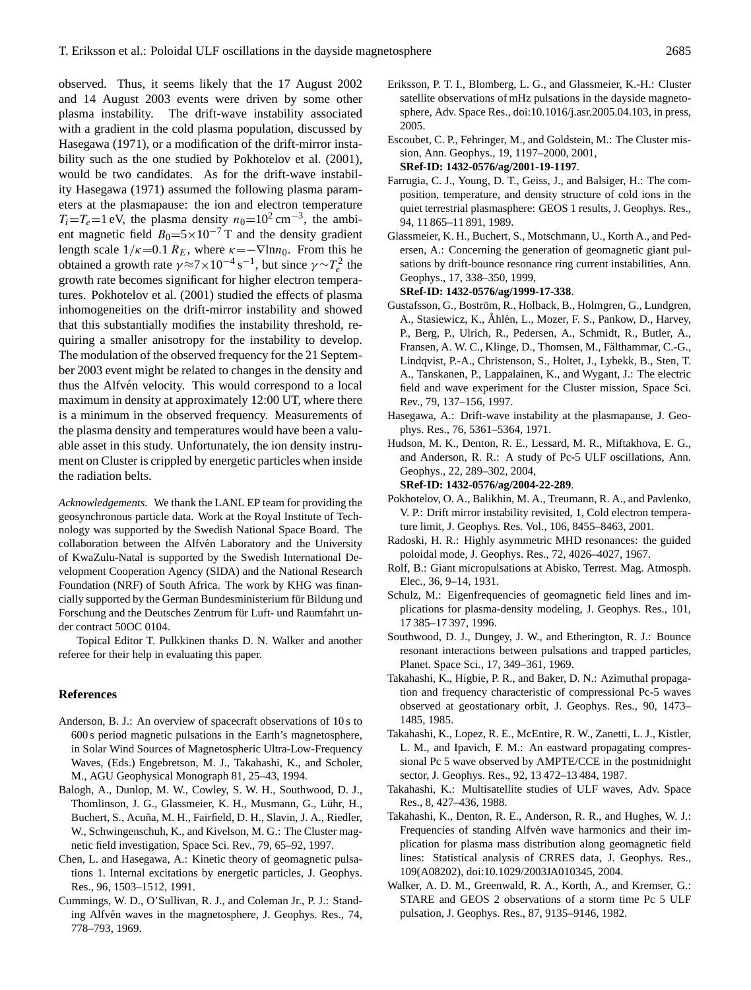observed. Thus, it seems likely that the 17 August 2002 and 14 August 2003 events were driven by some other plasma instability. The drift-wave instability associated with a gradient in the cold plasma population, discussed by Hasegawa (1971), or a modification of the drift-mirror instability such as the one studied by Pokhotelov et al. (2001), would be two candidates. As for the drift-wave instability Hasegawa (1971) assumed the following plasma parameters at the plasmapause: the ion and electron temperature  $T_i = T_e = 1$  eV, the plasma density  $n_0 = 10^2$  cm<sup>-3</sup>, the ambient magnetic field  $B_0=5\times10^{-7}$  T and the density gradient length scale  $1/\kappa$ =0.1  $R_E$ , where  $\kappa$ =− $\nabla$ lnn<sub>0</sub>. From this he obtained a growth rate  $\gamma \approx 7 \times 10^{-4} \text{ s}^{-1}$ , but since  $\gamma \sim T_e^2$  the growth rate becomes significant for higher electron temperatures. Pokhotelov et al. (2001) studied the effects of plasma inhomogeneities on the drift-mirror instability and showed that this substantially modifies the instability threshold, requiring a smaller anisotropy for the instability to develop. The modulation of the observed frequency for the 21 September 2003 event might be related to changes in the density and thus the Alfvén velocity. This would correspond to a local maximum in density at approximately 12:00 UT, where there is a minimum in the observed frequency. Measurements of the plasma density and temperatures would have been a valuable asset in this study. Unfortunately, the ion density instrument on Cluster is crippled by energetic particles when inside the radiation belts.

*Acknowledgements.* We thank the LANL EP team for providing the geosynchronous particle data. Work at the Royal Institute of Technology was supported by the Swedish National Space Board. The collaboration between the Alfvén Laboratory and the University of KwaZulu-Natal is supported by the Swedish International Development Cooperation Agency (SIDA) and the National Research Foundation (NRF) of South Africa. The work by KHG was financially supported by the German Bundesministerium für Bildung und Forschung and the Deutsches Zentrum für Luft- und Raumfahrt under contract 50OC 0104.

Topical Editor T. Pulkkinen thanks D. N. Walker and another referee for their help in evaluating this paper.

#### **References**

- Anderson, B. J.: An overview of spacecraft observations of 10 s to 600 s period magnetic pulsations in the Earth's magnetosphere, in Solar Wind Sources of Magnetospheric Ultra-Low-Frequency Waves, (Eds.) Engebretson, M. J., Takahashi, K., and Scholer, M., AGU Geophysical Monograph 81, 25–43, 1994.
- Balogh, A., Dunlop, M. W., Cowley, S. W. H., Southwood, D. J., Thomlinson, J. G., Glassmeier, K. H., Musmann, G., Lühr, H., Buchert, S., Acuña, M. H., Fairfield, D. H., Slavin, J. A., Riedler, W., Schwingenschuh, K., and Kivelson, M. G.: The Cluster magnetic field investigation, Space Sci. Rev., 79, 65–92, 1997.
- Chen, L. and Hasegawa, A.: Kinetic theory of geomagnetic pulsations 1. Internal excitations by energetic particles, J. Geophys. Res., 96, 1503–1512, 1991.
- Cummings, W. D., O'Sullivan, R. J., and Coleman Jr., P. J.: Standing Alfvén waves in the magnetosphere, J. Geophys. Res., 74, 778–793, 1969.
- Eriksson, P. T. I., Blomberg, L. G., and Glassmeier, K.-H.: Cluster satellite observations of mHz pulsations in the dayside magnetosphere, Adv. Space Res., doi:10.1016/j.asr.2005.04.103, in press, 2005.
- Escoubet, C. P., Fehringer, M., and Goldstein, M.: The Cluster mission, Ann. Geophys., 19, 1197–2000, 2001,

**[SRef-ID: 1432-0576/ag/2001-19-1197](http://direct.sref.org/1432-0576/ag/2001-19-1197)**.

- Farrugia, C. J., Young, D. T., Geiss, J., and Balsiger, H.: The composition, temperature, and density structure of cold ions in the quiet terrestrial plasmasphere: GEOS 1 results, J. Geophys. Res., 94, 11 865–11 891, 1989.
- Glassmeier, K. H., Buchert, S., Motschmann, U., Korth A., and Pedersen, A.: Concerning the generation of geomagnetic giant pulsations by drift-bounce resonance ring current instabilities, Ann. Geophys., 17, 338–350, 1999,

**[SRef-ID: 1432-0576/ag/1999-17-338](http://direct.sref.org/1432-0576/ag/1999-17-338)**.

- Gustafsson, G., Boström, R., Holback, B., Holmgren, G., Lundgren, A., Stasiewicz, K., Ahlén, L., Mozer, F. S., Pankow, D., Harvey, P., Berg, P., Ulrich, R., Pedersen, A., Schmidt, R., Butler, A., Fransen, A. W. C., Klinge, D., Thomsen, M., Fälthammar, C.-G., Lindqvist, P.-A., Christenson, S., Holtet, J., Lybekk, B., Sten, T. A., Tanskanen, P., Lappalainen, K., and Wygant, J.: The electric field and wave experiment for the Cluster mission, Space Sci. Rev., 79, 137–156, 1997.
- Hasegawa, A.: Drift-wave instability at the plasmapause, J. Geophys. Res., 76, 5361–5364, 1971.
- Hudson, M. K., Denton, R. E., Lessard, M. R., Miftakhova, E. G., and Anderson, R. R.: A study of Pc-5 ULF oscillations, Ann. Geophys., 22, 289–302, 2004,
	- **[SRef-ID: 1432-0576/ag/2004-22-289](http://direct.sref.org/1432-0576/ag/2004-22-289)**.
- Pokhotelov, O. A., Balikhin, M. A., Treumann, R. A., and Pavlenko, V. P.: Drift mirror instability revisited, 1, Cold electron temperature limit, J. Geophys. Res. Vol., 106, 8455–8463, 2001.
- Radoski, H. R.: Highly asymmetric MHD resonances: the guided poloidal mode, J. Geophys. Res., 72, 4026–4027, 1967.
- Rolf, B.: Giant micropulsations at Abisko, Terrest. Mag. Atmosph. Elec., 36, 9–14, 1931.
- Schulz, M.: Eigenfrequencies of geomagnetic field lines and implications for plasma-density modeling, J. Geophys. Res., 101, 17 385–17 397, 1996.
- Southwood, D. J., Dungey, J. W., and Etherington, R. J.: Bounce resonant interactions between pulsations and trapped particles, Planet. Space Sci., 17, 349–361, 1969.
- Takahashi, K., Higbie, P. R., and Baker, D. N.: Azimuthal propagation and frequency characteristic of compressional Pc-5 waves observed at geostationary orbit, J. Geophys. Res., 90, 1473– 1485, 1985.
- Takahashi, K., Lopez, R. E., McEntire, R. W., Zanetti, L. J., Kistler, L. M., and Ipavich, F. M.: An eastward propagating compressional Pc 5 wave observed by AMPTE/CCE in the postmidnight sector, J. Geophys. Res., 92, 13 472–13 484, 1987.
- Takahashi, K.: Multisatellite studies of ULF waves, Adv. Space Res., 8, 427–436, 1988.
- Takahashi, K., Denton, R. E., Anderson, R. R., and Hughes, W. J.: Frequencies of standing Alfvén wave harmonics and their implication for plasma mass distribution along geomagnetic field lines: Statistical analysis of CRRES data, J. Geophys. Res., 109(A08202), doi:10.1029/2003JA010345, 2004.
- Walker, A. D. M., Greenwald, R. A., Korth, A., and Kremser, G.: STARE and GEOS 2 observations of a storm time Pc 5 ULF pulsation, J. Geophys. Res., 87, 9135–9146, 1982.